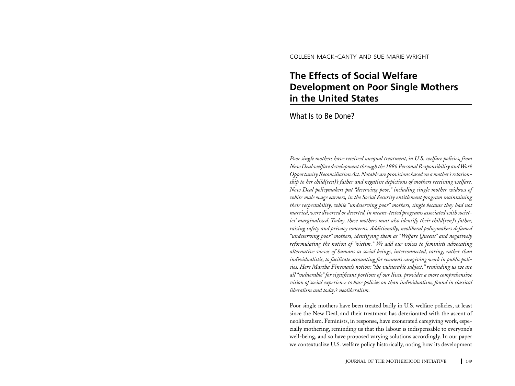colleen mack-canty and sue marie wright

# **The Effects of Social Welfare Development on Poor Single Mothers in the United States**

What Is to Be Done?

*Poor single mothers have received unequal treatment, in U.S. welfare policies, from New Deal welfare development through the 1996 Personal Responsibility and Work Opportunity Reconciliation Act. Notable are provisions based on a mother's relationship to her child(ren)'s father and negative depictions of mothers receiving welfare. New Deal policymakers put "deserving poor," including single mother widows of white male wage earners, in the Social Security entitlement program maintaining their respectability, while "undeserving poor" mothers, single because they had not married, were divorced or deserted, in means-tested programs associated with societies' marginalized. Today, these mothers must also identify their child(ren)'s father, raising safety and privacy concerns. Additionally, neoliberal policymakers defamed "undeserving poor" mothers, identifying them as "Welfare Queens" and negatively reformulating the notion of "victim." We add our voices to feminists advocating alternative views of humans as social beings, interconnected, caring, rather than individualistic, to facilitate accounting for women's caregiving work in public policies. Here Martha Fineman's notion: "the vulnerable subject," reminding us we are all "vulnerable" for significant portions of our lives, provides a more comprehensive vision of social experience to base policies on than individualism, found in classical liberalism and today's neoliberalism.*

Poor single mothers have been treated badly in U.S. welfare policies, at least since the New Deal, and their treatment has deteriorated with the ascent of neoliberalism. Feminists, in response, have exonerated caregiving work, especially mothering, reminding us that this labour is indispensable to everyone's well-being, and so have proposed varying solutions accordingly. In our paper we contextualize U.S. welfare policy historically, noting how its development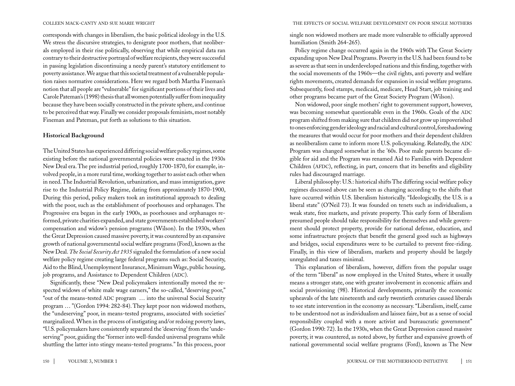corresponds with changes in liberalism, the basic political ideology in the U.S. We stress the discursive strategies, to denigrate poor mothers, that neoliberals employed in their rise politically, observing that while empirical data ran contrary to their destructive portrayal of welfare recipients, they were successful in passing legislation discontinuing a needy parent's statutory entitlement to poverty assistance. We argue that this societal treatment of a vulnerable population raises normative considerations. Here we regard both Martha Fineman's notion that all people are "vulnerable" for significant portions of their lives and Carole Pateman's (1998) thesis that all women potentially suffer from inequality because they have been socially constructed in the private sphere, and continue to be perceived that way. Finally we consider proposals feminists, most notably Fineman and Pateman, put forth as solutions to this situation.

# **Historical Background**

The United States has experienced differing social welfare policy regimes, some existing before the national governmental policies were enacted in the 1930s New Deal era. The pre industrial period, roughly 1700-1870, for example, involved people, in a more rural time, working together to assist each other when in need. The Industrial Revolution, urbanization, and mass immigration, gave rise to the Industrial Policy Regime, dating from approximately 1870-1900, During this period, policy makers took an institutional approach to dealing with the poor, such as the establishment of poorhouses and orphanages. The Progressive era began in the early 1900s, as poorhouses and orphanages reformed, private charities expanded, and state governments established workers' compensation and widow's pension programs (Wilson). In the 1930s, when the Great Depression caused massive poverty, it was countered by an expansive growth of national governmental social welfare programs (Ford), known as the New Deal. *The Social Security Act 1935* signaled the formulation of a new social welfare policy regime creating large federal programs such as: Social Security, Aid to the Blind, Unemployment Insurance, Minimum Wage, public housing, job programs, and Assistance to Dependent Children (ADC).

 Significantly, these "New Deal policymakers intentionally moved the respected widows of white male wage earners," the so-called, "deserving poor," "out of the means-tested ADC program ... into the universal Social Security program … "(Gordon 1994: 282-84). They kept poor non widowed mothers, the "undeserving" poor, in means-tested programs, associated with societies' marginalized. When in the process of instigating and/or redoing poverty laws, "U.S. policymakers have consistently separated the 'deserving' from the 'undeserving'" poor, guiding the "former into well-funded universal programs while shuttling the latter into stingy means-tested programs." In this process, poor single non widowed mothers are made more vulnerable to officially approved humiliation (Smith 264-265).

Policy regime change occurred again in the 1960s with The Great Society expanding upon New Deal Programs. Poverty in the U.S. had been found to be as severe as that seen in underdeveloped nations and this finding, together with the social movements of the 1960s—the civil rights, anti poverty and welfare rights movements, created demands for expansion in social welfare programs. Subsequently, food stamps, medicaid, medicare, Head Start, job training and other programs became part of the Great Society Program (Wilson).

Non widowed, poor single mothers' right to government support, however, was becoming somewhat questionable even in the 1960s. Goals of the ADC program shifted from making sure that children did not grow up impoverished to ones enforcing gender ideology and racial and cultural control, foreshadowing the measures that would occur for poor mothers and their dependent children as neoliberalism came to inform more U.S. policymaking. Relatedly, the ADC Program was changed somewhat in the '60s. Poor male parents became eligible for aid and the Program was renamed Aid to Families with Dependent Children (AFDC), reflecting, in part, concern that its benefits and eligibility rules had discouraged marriage.

Liberal philosophy: U.S.: historical shifts The differing social welfare policy regimes discussed above can be seen as changing according to the shifts that have occurred within U.S. liberalism historically. "Ideologically, the U.S. is a liberal state" (O'Neil 73). It was founded on tenets such as individualism, a weak state, free markets, and private property. This early form of liberalism presumed people should take responsibility for themselves and while government should protect property, provide for national defense, education, and some infrastructure projects that benefit the general good such as highways and bridges, social expenditures were to be curtailed to prevent free-riding. Finally, in this view of liberalism, markets and property should be largely unregulated and taxes minimal.

This explanation of liberalism, however, differs from the popular usage of the term "liberal" as now employed in the United States, where it usually means a stronger state, one with greater involvement in economic affairs and social provisioning (98). Historical developments, primarily the economic upheavals of the late nineteenth and early twentieth centuries caused liberals to see state intervention in the economy as necessary. "Liberalism, itself, came to be understood not as individualism and laissez faire, but as a sense of social responsibility coupled with a more activist and bureaucratic government" (Gordon 1990: 72). In the 1930s, when the Great Depression caused massive poverty, it was countered, as noted above, by further and expansive growth of national governmental social welfare programs (Ford), known as The New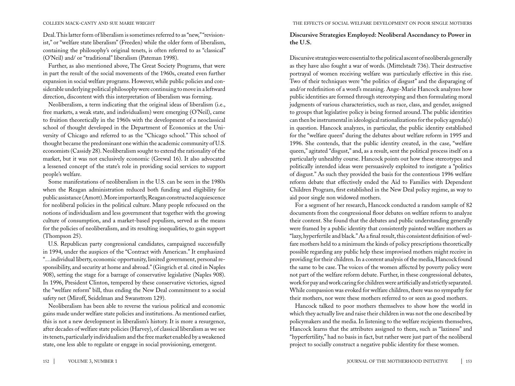Deal. This latter form of liberalism is sometimes referred to as "new," "revisionist," or "welfare state liberalism" (Freeden) while the older form of liberalism, containing the philosophy's original tenets, is often referred to as "classical" (O'Neil) and/ or "traditional" liberalism (Pateman 1998).

Further, as also mentioned above, The Great Society Programs, that were in part the result of the social movements of the 1960s, created even further expansion in social welfare programs. However, while public policies and considerable underlying political philosophy were continuing to move in a leftward direction, discontent with this interpretation of liberalism was forming.

Neoliberalism, a term indicating that the original ideas of liberalism (i.e., free markets, a weak state, and individualism) were emerging (O'Neil), came to fruition theoretically in the 1960s with the development of a neoclassical school of thought developed in the Department of Economics at the University of Chicago and referred to as the "Chicago school." This school of thought became the predominant one within the academic community of U.S. economists (Cassidy 28). Neoliberalism sought to extend the rationality of the market, but it was not exclusively economic (Grewal 16). It also advocated a lessened concept of the state's role in providing social services to support people's welfare.

Some manifestations of neoliberalism in the U.S. can be seen in the 1980s when the Reagan administration reduced both funding and eligibility for public assistance (Amott). More importantly, Reagan constructed acquiescence for neoliberal policies in the political culture. Many people refocused on the notions of individualism and less government that together with the growing culture of consumption, and a market-based populism, served as the means for the policies of neoliberalism, and its resulting inequalities, to gain support (Thompson 25).

U.S. Republican party congressional candidates, campaigned successfully in 1994, under the auspices of the "Contract with American." It emphasized "…individual liberty, economic opportunity, limited government, personal responsibility, and security at home and abroad." (Gingrich et al. cited in Naples 908), setting the stage for a barrage of conservative legislative (Naples 908). In 1996, President Clinton, tempered by these conservative victories, signed the "welfare reform" bill, thus ending the New Deal commitment to a social safety net (Miroff, Seidelman and Swanstrom 129).

Neoliberalism has been able to reverse the various political and economic gains made under welfare state policies and institutions. As mentioned earlier, this is not a new development in liberalism's history. It is more a resurgence, after decades of welfare state policies (Harvey), of classical liberalism as we see its tenets, particularly individualism and the free market enabled by a weakened state, one less able to regulate or engage in social provisioning, emergent.

# **Discursive Strategies Employed: Neoliberal Ascendancy to Power in the U.S.**

Discursive strategies were essential to the political ascent of neoliberals generally as they have also fought a war of words. (Mittelstadt 736). Their destructive portrayal of women receiving welfare was particularly effective in this rise. Two of their techniques were "the politics of disgust" and the disparaging of and/or redefinition of a word's meaning. Ange-Marie Hancock analyzes how public identities are formed through stereotyping and then formulating moral judgments of various characteristics, such as race, class, and gender, assigned to groups that legislative policy is being formed around. The public identities can then be instrumental in ideological rationalizations for the policy agenda(s) in question. Hancock analyzes, in particular, the public identity established for the "welfare queen" during the debates about welfare reform in 1995 and 1996. She contends, that the public identity created, in the case, "welfare queen," agitated "disgust," and, as a result, sent the political process itself on a particularly unhealthy course. Hancock points out how these stereotypes and politically intended ideas were persuasively exploited to instigate a "politics of disgust." As such they provided the basis for the contentious 1996 welfare reform debate that effectively ended the Aid to Families with Dependent Children Program, first established in the New Deal policy regime, as way to aid poor single non widowed mothers.

For a segment of her research, Hancock conducted a random sample of 82 documents from the congressional floor debates on welfare reform to analyze their content. She found that the debates and public understanding generally were framed by a public identity that consistently painted welfare mothers as "lazy, hyperfertile and black." As a final result, this consistent definition of welfare mothers held to a minimum the kinds of policy prescriptions theoretically possible regarding any public help these improvised mothers might receive in providing for their children. In a content analysis of the media, Hancock found the same to be case. The voices of the women affected by poverty policy were not part of the welfare reform debate. Further, in these congressional debates, work for pay and work caring for children were artificially and strictly separated. While compassion was evoked for welfare children, there was no sympathy for their mothers, nor were these mothers referred to or seen as good mothers.

Hancock talked to poor mothers themselves to show how the world in which they actually live and raise their children in was not the one described by policymakers and the media. In listening to the welfare recipients themselves, Hancock learns that the attributes assigned to them, such as "laziness" and "hyperfertility," had no basis in fact, but rather were just part of the neoliberal project to socially construct a negative public identity for these women.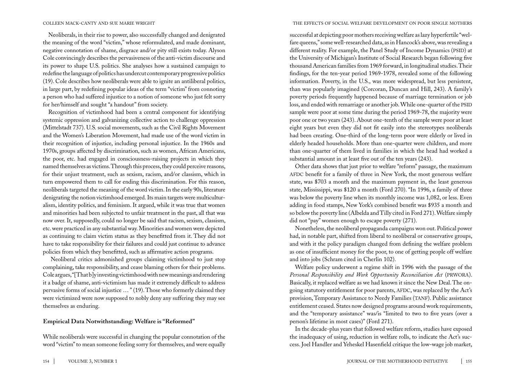Neoliberals, in their rise to power, also successfully changed and denigrated the meaning of the word "victim," whose reformulated, and made dominant, negative connotation of shame, disgrace and/or pity still exists today. Alyson Cole convincingly describes the pervasiveness of the anti-victim discourse and its power to shape U.S. politics. She analyses how a sustained campaign to redefine the language of politics has undercut contemporary progressive politics (19). Cole describes how neoliberals were able to ignite an antiliberal politics, in large part, by redefining popular ideas of the term "victim" from connoting a person who had suffered injustice to a notion of someone who just felt sorry for her/himself and sought "a handout" from society.

Recognition of victimhood had been a central component for identifying systemic oppression and galvanizing collective action to challenge oppression (Mittelstadt 737). U.S. social movements, such as the Civil Rights Movement and the Women's Liberation Movement, had made use of the word victim in their recognition of injustice, including personal injustice. In the 1960s and 1970s, groups affected by discrimination, such as women, African Americans, the poor, etc. had engaged in consciousness-raising projects in which they named themselves as victims. Through this process, they could perceive reasons, for their unjust treatment, such as sexism, racism, and/or classism, which in turn empowered them to call for ending this discrimination. For this reason, neoliberals targeted the meaning of the word victim. In the early 90s, literature denigrating the notion victimhood emerged. Its main targets were multiculturalism, identity politics, and feminism. It argued, while it was true that women and minorities had been subjected to unfair treatment in the past, all that was now over. It, supposedly, could no longer be said that racism, sexism, classism, etc. were practiced in any substantial way. Minorities and women were depicted as continuing to claim victim status as they benefitted from it. They did not have to take responsibility for their failures and could just continue to advance policies from which they benefitted, such as affirmative action programs.

 Neoliberal critics admonished groups claiming victimhood to just stop complaining, take responsibility, and cease blaming others for their problems. Cole argues, "[That b]y investing victimhood with new meanings and rendering it a badge of shame, anti-victimism has made it extremely difficult to address pervasive forms of social injustice … " (19). Those who formerly claimed they were victimized were now supposed to nobly deny any suffering they may see themselves as enduring.

### **Empirical Data Notwithstanding: Welfare is "Reformed"**

While neoliberals were successful in changing the popular connotation of the word "victim" to mean someone feeling sorry for themselves, and were equally

### colleen mack-canty and sue marie wright the effects of social welfare development on poor single mothers

successful at depicting poor mothers receiving welfare as lazy hyperfertile "welfare queens," some well-researched data, as in Hancock's above, was revealing a different reality. For example, the Panel Study of Income Dynamics (PSID) at the University of Michigan's Institute of Social Research began following five thousand American families from 1969 forward, in longitudinal studies. Their findings, for the ten-year period 1969-1978, revealed some of the following information. Poverty, in the U.S., was more widespread, but less persistent, than was popularly imagined (Corcoran, Duncan and Hill, 243). A family's poverty periods frequently happened because of marriage termination or job loss, and ended with remarriage or another job. While one-quarter of the PSID sample were poor at some time during the period 1969-78, the majority were poor one or two years (243). About one-tenth of the sample were poor at least eight years but even they did not fit easily into the stereotypes neoliberals had been creating. One-third of the long-term poor were elderly or lived in elderly headed households. More than one-quarter were children, and more than one-quarter of them lived in families in which the head had worked a substantial amount in at least five out of the ten years (243).

Other data shows that just prior to welfare "reform" passage, the maximum AFDC benefit for a family of three in New York, the most generous welfare state, was \$703 a month and the maximum payment in, the least generous state, Mississippi, was \$120 a month (Ford 270). "In 1996, a family of three was below the poverty line when its monthly income was 1,082, or less. Even adding in food stamps, New York's combined benefit was \$935 a month and so below the poverty line (Albelda and Tilly cited in Ford 271). Welfare simply did not "pay" women enough to escape poverty (271).

Nonetheless, the neoliberal propaganda campaigns won out. Political power had, in notable part, shifted from liberal to neoliberal or conservative groups, and with it the policy paradigm changed from defining the welfare problem as one of insufficient money for the poor, to one of getting people off welfare and into jobs (Schram cited in Cherlin 102).

Welfare policy underwent a regime shift in 1996 with the passage of the Personal Responsibility and Work Opportunity Reconciliation Act (PRWORA). Basically, it replaced welfare as we had known it since the New Deal. The ongoing statutory entitlement for poor parents, AFDC, was replaced by the Act's provision, Temporary Assistance to Needy Families (TANF). Public assistance entitlement ceased. States now designed programs around work requirements, and the "temporary assistance" was/is "limited to two to five years (over a person's lifetime in most cases)" (Ford 271).

In the decade-plus years that followed welfare reform, studies have exposed the inadequacy of using, reduction in welfare rolls, to indicate the Act's success. Joel Handler and Yeheskel Hasenfield critique the low-wage job market,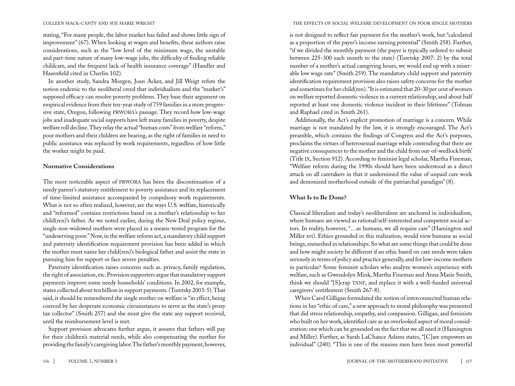stating, "For many people, the labor market has failed and shows little sign of improvement" (67). When looking at wages and benefits, these authors raise considerations, such as the "low level of the minimum wage, the unstable and part-time nature of many low-wage jobs, the difficulty of finding reliable childcare, and the frequent lack of health insurance coverage" (Handler and Hasenfield cited in Cherlin 102).

In another study, Sandra Morgen, Joan Acker, and Jill Weigt refute the notion endemic to the neoliberal creed that individualism and the "market's" supposed efficacy can resolve poverty problems. They base their argument on empirical evidence from their ten-year study of 759 families in a more progressive state, Oregon, following prwora's passage. They record how low-wage jobs and inadequate social supports have left many families in poverty, despite welfare roll decline. They relay the actual "human costs" from welfare "reform," poor mothers and their children are bearing, as the right of families in need to public assistance was replaced by work requirements, regardless of how little the worker might be paid.

## **Normative Considerations**

The most noticeable aspect of PRWORA has been the discontinuation of a needy parent's statutory entitlement to poverty assistance and its replacement of time-limited assistance accompanied by compulsory work requirements. What is not so often realized, however, are the ways U.S. welfare, historically and "reformed" contains restrictions based on a mother's relationship to her child(ren)'s father. As we noted earlier, during the New Deal policy regime, single non-widowed mothers were placed in a means-tested program for the "undeserving poor." Now, in the welfare reform act, a mandatory child support and paternity identification requirement provision has been added in which the mother must name her child(ren)'s biological father and assist the state in pursuing him for support or face severe penalties.

Paternity identification raises concerns such as. privacy, family regulation, the right of association, etc. Provision supporters argue that mandatory support payments improve some needy households' conditions. In 2002, for example, states collected about ten billion in support payments. (Turetsky 2003: 5). That said, it should be remembered the single mother on welfare is "in effect, being coerced by her desperate economic circumstances to serve as the state's proxy tax collector" (Smith 257) and she must give the state any support received, until the reimbursement level is met.

Support provision advocates further argue, it assures that fathers will pay for their children's material needs, while also compensating the mother for providing the family's caregiving labor. The father's monthly payment, however,

colleen mack-canty and sue marie wright the effects of social welfare development on poor single mothers

is not designed to reflect fair payment for the mother's work, but "calculated as a proportion of the payer's income earning potential" (Smith 258). Further, "if we divided the monthly payment (the payer is typically ordered to submit between 225-300 each month to the state) (Turetsky 2007: 2) by the total number of a mother's actual caregiving hours, we would end up with a miserable low wage rate" (Smith 259). The mandatory child support and paternity identification requirement provision also raises safety concerns for the mother and sometimes for her child(ren). "It is estimated that 20-30 per cent of women on welfare reported domestic violence in a current relationship, and about half reported at least one domestic violence incident in their lifetimes" (Tolman and Raphael cited in Smith 261).

Additionally, the Act's explicit promotion of marriage is a concern. While marriage is not mandated by the law, it is strongly encouraged. The Act's preamble, which contains the findings of Congress and the Act's purposes, proclaims the virtues of heterosexual marriage while contending that there are negative consequences to the mother and the child from out-of-wedlock birth' (Title ix, Section 912). According to feminist legal scholar, Martha Fineman, "Welfare reform during the 1990s should have been understood as a direct attack on all caretakers in that it undermined the value of unpaid care work and demonized motherhood outside of the patriarchal paradigm" (8).

# **What Is to Be Done?**

Classical liberalism and today's neoliberalism are anchored in individualism, where humans are viewed as rational/self-interested and competent social actors. In reality, however, "…as humans, we all require care" (Hamington and Miller xvi). Ethics grounded in this realization, would view humans as social beings, enmeshed in relationships. So what are some things that could be done and how might society be different if an ethic based on care needs were taken seriously in terms of policy and practice generally, and for low-income mothers in particular? Some feminist scholars who analyze women's experience with welfare, such as Gwendolyn Mink, Martha Fineman and Anna Marie Smith, think we should "[S]crap TANF, and replace it with a well-funded universal caregivers' entitlement (Smith 267-8).

When Carol Gilligan formulated the notion of interconnected human relations in her "ethic of care," a new approach to moral philosophy was presented that did stress relationship, empathy, and compassion. Gilligan, and feminists who built on her work, identified care as an overlooked aspect of moral consideration: one which can be grounded on the fact that we all need it (Hamington and Miller). Further, as Sarah LaChance Adams states, "[C]are empowers an individual" (240). "This is one of the reasons men have been most powerful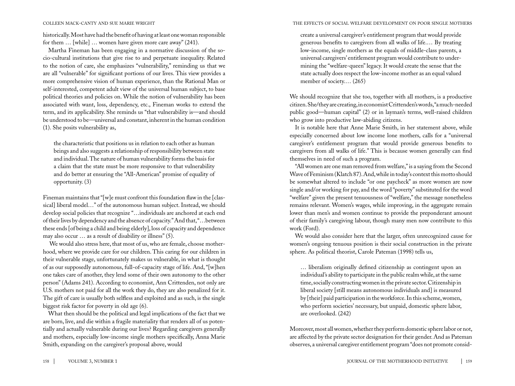historically. Most have had the benefit of having at least one woman responsible for them … [while] … women have given more care away" (241).

Martha Fineman has been engaging in a normative discussion of the socio-cultural institutions that give rise to and perpetuate inequality. Related to the notion of care, she emphasizes "vulnerability," reminding us that we are all "vulnerable" for significant portions of our lives. This view provides a more comprehensive vision of human experience, than the Rational Man or self-interested, competent adult view of the universal human subject, to base political theories and policies on. While the notion of vulnerability has been associated with want, loss, dependency, etc., Fineman works to extend the term, and its applicability. She reminds us "that vulnerability is—and should be understood to be—universal and constant, inherent in the human condition (1). She posits vulnerability as,

the characteristic that positions us in relation to each other as human beings and also suggests a relationship of responsibility between state and individual. The nature of human vulnerability forms the basis for a claim that the state must be more responsive to that vulnerability and do better at ensuring the "All-American" promise of equality of opportunity. (3)

Fineman maintains that "[w]e must confront this foundation flaw in the [classical] liberal model…" of the autonomous human subject. Instead, we should develop social policies that recognize "…individuals are anchored at each end of their lives by dependency and the absence of capacity." And that, "…between these ends [of being a child and being elderly], loss of capacity and dependence may also occur … as a result of disability or illness" (5).

 We would also stress here, that most of us, who are female, choose motherhood, where we provide care for our children. This caring for our children in their vulnerable stage, unfortunately makes us vulnerable, in what is thought of as our supposedly autonomous, full-of-capacity stage of life. And, "[w]hen one takes care of another, they lend some of their own autonomy to the other person" (Adams 241). According to economist, Ann Crittenden, not only are U.S. mothers not paid for all the work they do, they are also penalized for it. The gift of care is usually both selfless and exploited and as such, is the single biggest risk factor for poverty in old age (6).

What then should be the political and legal implications of the fact that we are born, live, and die within a fragile materiality that renders all of us potentially and actually vulnerable during our lives? Regarding caregivers generally and mothers, especially low-income single mothers specifically, Anna Marie Smith, expanding on the caregiver's proposal above, would

### colleen mack-canty and sue marie wright the effects of social welfare development on poor single mothers

create a universal caregiver's entitlement program that would provide generous benefits to caregivers from all walks of life.… By treating low-income, single mothers as the equals of middle-class parents, a universal caregivers' entitlement program would contribute to undermining the "welfare-queen" legacy. It would create the sense that the state actually does respect the low-income mother as an equal valued member of society.… (265)

We should recognize that she too, together with all mothers, is a productive citizen. She/they are creating, in economist Crittenden's words, "a much-needed public good—human capital" (2) or in layman's terms, well-raised children who grow into productive law-abiding citizens.

It is notable here that Anne Marie Smith, in her statement above, while especially concerned about low income lone mothers, calls for a "universal caregiver's entitlement program that would provide generous benefits to caregivers from all walks of life." This is because women generally can find themselves in need of such a program.

"All women are one man removed from welfare," is a saying from the Second Wave of Feminism (Klatch 87). And, while in today's context this motto should be somewhat altered to include "or one paycheck" as more women are now single and/or working for pay, and the word "poverty" substituted for the word "welfare" given the present tenuousness of "welfare," the message nonetheless remains relevant. Women's wages, while improving, in the aggregate remain lower than men's and women continue to provide the preponderant amount of their family's caregiving labour, though many men now contribute to this work (Ford).

We would also consider here that the larger, often unrecognized cause for women's ongoing tenuous position is their social construction in the private sphere. As political theorist, Carole Pateman (1998) tells us,

… liberalism originally defined citizenship as contingent upon an individual's ability to participate in the public realm while, at the same time, socially constructing women in the private sector. Citizenship in liberal society [still means autonomous individuals and] is measured by [their] paid participation in the workforce. In this scheme, women, who perform societies' necessary, but unpaid, domestic sphere labor, are overlooked. (242)

Moreover, most all women, whether they perform domestic sphere labor or not, are affected by the private sector designation for their gender. And as Pateman observes, a universal caregiver entitlement program "does not promote consid-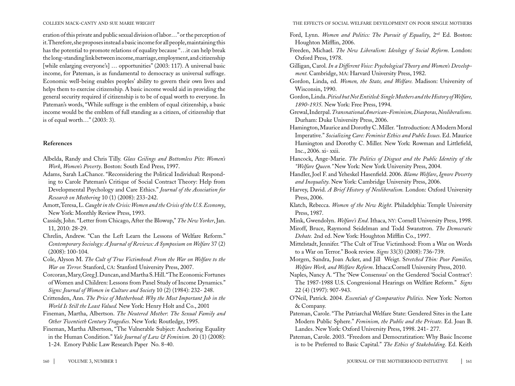eration of this private and public sexual division of labor…" or the perception of it. Therefore, she proposes instead a basic income for all people, maintaining this has the potential to promote relations of equality because "…it can help break the long-standing link between income, marriage, employment, and citizenship [while enlarging everyone's] … opportunities" (2003: 117). A universal basic income, for Pateman, is as fundamental to democracy as universal suffrage. Economic well-being enables peoples' ability to govern their own lives and helps them to exercise citizenship. A basic income would aid in providing the general security required if citizenship is to be of equal worth to everyone. In Pateman's words, "While suffrage is the emblem of equal citizenship, a basic income would be the emblem of full standing as a citizen, of citizenship that is of equal worth…" (2003: 3).

# **References**

- Albelda, Randy and Chris Tilly. *Glass Ceilings and Bottomless Pits*: *Women's Work*, *Women's Poverty*. Boston: South End Press, 1997.
- Adams, Sarah LaChance. "Reconsidering the Political Individual: Responding to Carole Pateman's Critique of Social Contract Theory: Help from Developmental Psychology and Care Ethics." *Journal of the Association for Research on Mothering* 10 (1) (2008): 233-242.
- Amott, Teresa, L. *Caught in the Crisis: Women and the Crisis of the U.S. Economy*, New York: Monthly Review Press, 1993.
- Cassidy, John. "Letter from Chicago, After the Blowup," *The New Yorker*, Jan. 11, 2010: 28-29.
- Chrelin, Andrew. "Can the Left Learn the Lessons of Welfare Reform." *Contemporary Sociology: A Journal of Reviews: A Symposium on Welfare* 37 (2) (2008): 100-104.
- Cole, Alyson M. *The Cult of True Victimhood*: *From the War on Welfare to the War on Terror.* Stanford, ca: Stanford University Press, 2007.
- Corcoran, Mary, Greg J. Duncan, and Martha S. Hill. "The Economic Fortunes of Women and Children: Lessons from Panel Study of Income Dynamics." *Signs: Journal of Women in Culture and Society* 10 (2) (1984): 232- 248.
- Crittenden, Ann. *The Price of Motherhood*: *Why the Most Important Job in the World Is Still the Least Valued.* New York: Henry Holt and Co., 2001
- Fineman, Martha, Albertson. *The Neutered Mother*: *The Sexual Family and Other Twentieth Century Tragedies*. New York: Routledge, 1995.
- Fineman, Martha Albertson, "The Vulnerable Subject: Anchoring Equality in the Human Condition." *Yale Journal of Law & Feminism.* 20 (1) (2008):
- 1-24. Emory Public Law Research Paper No. 8-40.

colleen mack-canty and sue marie wright the effects of social welfare development on poor single mothers

- Ford, Lynn. *Women and Politics: The Pursuit of Equality*, 2nd Ed. Boston: Houghton Mifflin, 2006.
- Freeden, Michael. *The New Liberalism*: *Ideology of Social Reform*. London: Oxford Press, 1978.
- Gilligan, Carol. *In a Different Voice: Psychological Theory and Women's Development.* Cambridge, ma: Harvard University Press, 1982.
- Gordon, Linda, ed. *Women, the State, and Welfare.* Madison: University of Wisconsin, 1990.
- Gordon, Linda. *Pitied but Not Entitled: Single Mothers and the History of Welfare, 1890-1935.* New York: Free Press, 1994.
- Grewal, Inderpal. *Transnational American-Feminism, Diasporas, Neoliberalisms.* Durham: Duke University Press, 2006.
- Hamington, Maurice and Dorothy C. Miller. "Introduction: A Modern Moral Imperative." *Socializing Care: Feminist Ethics and Public Issues*. Ed. Maurice Hamington and Dorothy C. Miller. New York: Rowman and Littlefield, Inc., 2006. xi- xxii.
- Hancock, Ange-Marie. *The Politics of Disgust and the Public Identity of the "Welfare Queen."* New York: New York University Press, 2004.
- Handler, Joel F. and Yeheskel Hasenfield. 2006. *Blame Welfare*, *Ignore Poverty and Inequality*. New York: Cambridge University Press, 2006.
- Harvey, David. *A Brief History of Neoliberalism.* London: Oxford University Press, 2006.
- Klatch, Rebecca. *Women of the New Right*. Philadelphia: Temple University Press, 1987.
- Mink, Gwendolyn. *Welfare's End*. Ithaca, ny: Cornell University Press, 1998. Miroff, Bruce, Raymond Seidelman and Todd Swanstron. *The Democratic Debate.* 2nd ed. New York: Houghton Mifflin Co., 1997.
- Mittelstadt, Jennifer. "The Cult of True Victimhood: From a War on Words to a War on Terror." Book review. *Signs* 33(3) (2008): 736-739.
- Morgen, Sandra, Joan Acker, and Jill Weigt. S*tretched Thin: Poor Families, Welfare Work, and Welfare Reform*. Ithaca:Cornell University Press, 2010.
- Naples, Nancy A. "The 'New Consensus' on the Gendered 'Social Contract': The 1987-1988 U.S. Congressional Hearings on Welfare Reform." *Signs*  22 (4) (1997): 907-943.
- O'Neil, Patrick. 2004. *Essentials of Comparative Politics.* New York: Norton & Company.
- Pateman, Carole. "The Patriarchal Welfare State: Gendered Sites in the Late Modern Public Sphere." *Feminism, the Public and the Private*. Ed. Joan B. Landes. New York: Oxford University Press, 1998. 241- 277.
- Pateman, Carole. 2003. "Freedom and Democratization: Why Basic Income is to be Preferred to Basic Capital." *The Ethics of Stakeholding*. Ed. Keith